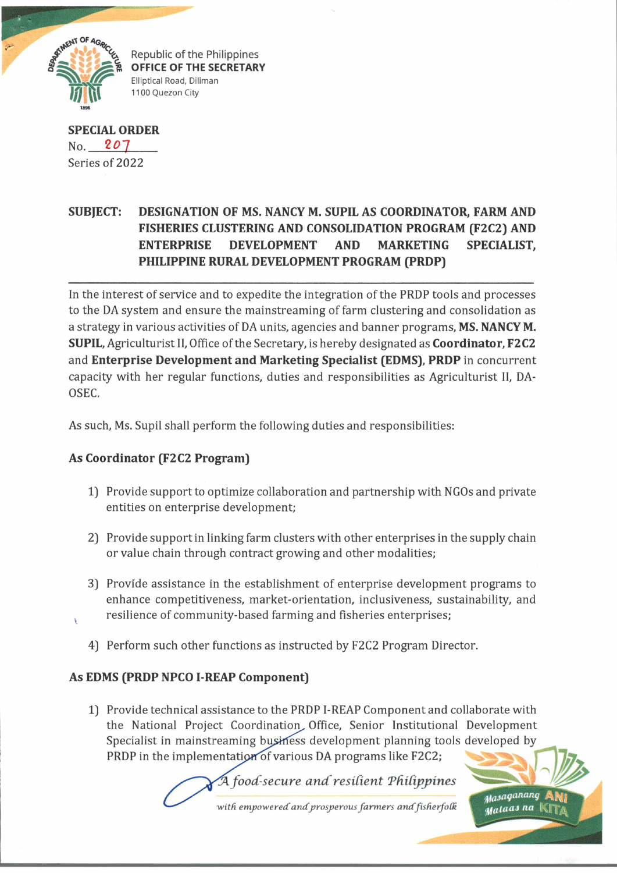

Republic of the Philippines **OFFICE OF THE SECRETARY** Elliptical Road, Diliman 1100 Quezon City

**SPECIAL ORDER** No. 207 Series of 2022

## **SUBJECT: DESIGNATION OF MS. NANCY M. SUPIL AS COORDINATOR, FARM AND FISHERIES CLUSTERING AND CONSOLIDATION PROGRAM (F2C2) AND ENTERPRISE DEVELOPMENT AND MARKETING SPECIALIST, PHILIPPINE RURAL DEVELOPMENT PROGRAM (PRDP)**

In the interest of service and to expedite the integration of the PRDP tools and processes to the DA system and ensure the mainstreaming of farm clustering and consolidation as a strategy in various activities of DA units, agencies and banner programs, **MS. NANCY M. SUPIL,** Agriculturist II, Office of the Secretary, is hereby designated as **Coordinator, F2C2** and **Enterprise Development and Marketing Specialist (EDMS), PRDP** in concurrent capacity with her regular functions, duties and responsibilities as Agriculturist II, DA-OSEC.

As such, Ms. Supil shall perform the following duties and responsibilities:

## **As Coordinator (F2C2 Program)**

- 1) Provide support to optimize collaboration and partnership with NGOs and private entities on enterprise development;
- 2) Provide support in linking farm clusters with other enterprises in the supply chain or value chain through contract growing and other modalities;
- 3) Provide assistance in the establishment of enterprise development programs to enhance competitiveness, market-orientation, inclusiveness, sustainability, and resilience of community-based farming and fisheries enterprises;
- 4) Perform such other functions as instructed by F2C2 Program Director.

## **As EDMS (PRDP NPCO I-REAP Component)**

1) Provide technical assistance to the PRDP I-REAP Component and collaborate with the National Project Coordination, Office, Senior Institutional Development Specialist in mainstreaming business development planning tools developed by PRDP in the implementation of various DA programs like F2C2;

> *food-secure and'resident Tdidppines* with empowered and prosperous farmers and fisherfolk